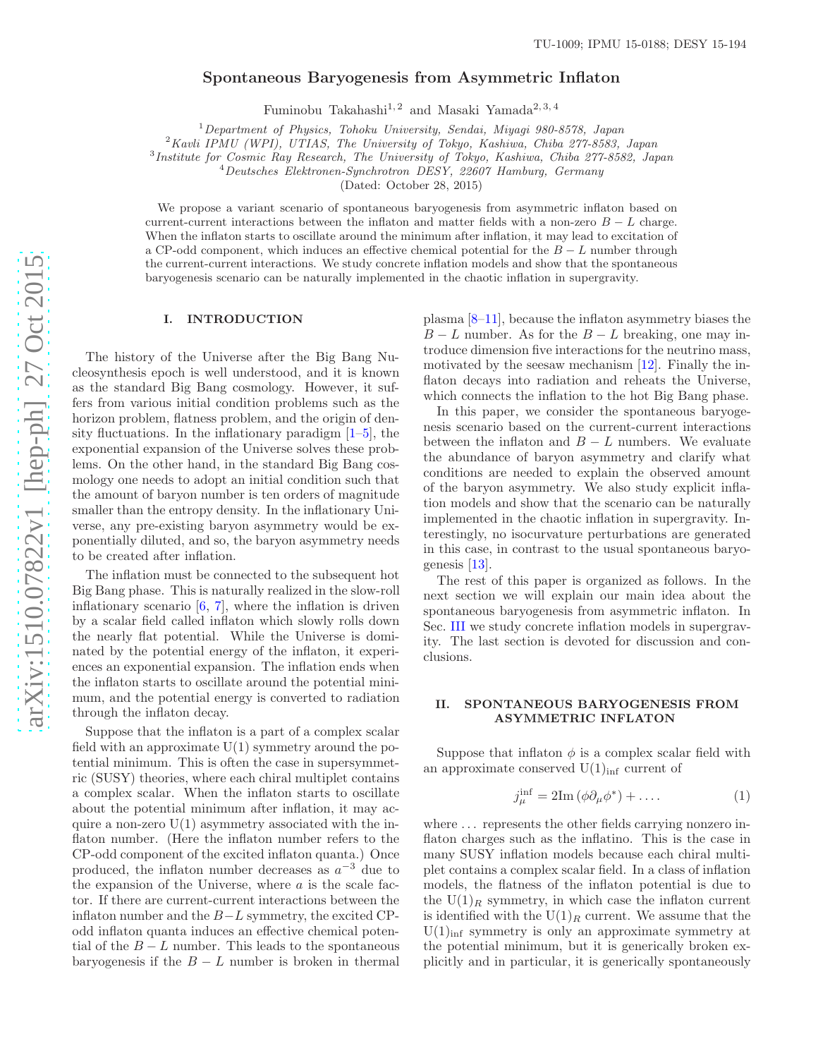# Spontaneous Baryogenesis from Asymmetric Inflaton

Fuminobu Takahashi<sup>1, 2</sup> and Masaki Yamada<sup>2, 3, 4</sup>

<sup>1</sup>Department of Physics, Tohoku University, Sendai, Miyagi 980-8578, Japan

<sup>2</sup> Kavli IPMU (WPI), UTIAS, The University of Tokyo, Kashiwa, Chiba 277-8583, Japan

<sup>3</sup>Institute for Cosmic Ray Research, The University of Tokyo, Kashiwa, Chiba 277-8582, Japan

 $^{4}Deutsches$  Elektronen-Synchrotron DESY, 22607 Hamburg, Germany

(Dated: October 28, 2015)

We propose a variant scenario of spontaneous baryogenesis from asymmetric inflaton based on current-current interactions between the inflaton and matter fields with a non-zero  $B - L$  charge. When the inflaton starts to oscillate around the minimum after inflation, it may lead to excitation of a CP-odd component, which induces an effective chemical potential for the  $B - L$  number through the current-current interactions. We study concrete inflation models and show that the spontaneous baryogenesis scenario can be naturally implemented in the chaotic inflation in supergravity.

### I. INTRODUCTION

The history of the Universe after the Big Bang Nucleosynthesis epoch is well understood, and it is known as the standard Big Bang cosmology. However, it suffers from various initial condition problems such as the horizon problem, flatness problem, and the origin of density fluctuations. In the inflationary paradigm  $[1-5]$ , the exponential expansion of the Universe solves these problems. On the other hand, in the standard Big Bang cosmology one needs to adopt an initial condition such that the amount of baryon number is ten orders of magnitude smaller than the entropy density. In the inflationary Universe, any pre-existing baryon asymmetry would be exponentially diluted, and so, the baryon asymmetry needs to be created after inflation.

The inflation must be connected to the subsequent hot Big Bang phase. This is naturally realized in the slow-roll inflationary scenario [\[6](#page-4-2), [7\]](#page-4-3), where the inflation is driven by a scalar field called inflaton which slowly rolls down the nearly flat potential. While the Universe is dominated by the potential energy of the inflaton, it experiences an exponential expansion. The inflation ends when the inflaton starts to oscillate around the potential minimum, and the potential energy is converted to radiation through the inflaton decay.

Suppose that the inflaton is a part of a complex scalar field with an approximate  $U(1)$  symmetry around the potential minimum. This is often the case in supersymmetric (SUSY) theories, where each chiral multiplet contains a complex scalar. When the inflaton starts to oscillate about the potential minimum after inflation, it may acquire a non-zero  $U(1)$  asymmetry associated with the inflaton number. (Here the inflaton number refers to the CP-odd component of the excited inflaton quanta.) Once produced, the inflaton number decreases as  $a^{-3}$  due to the expansion of the Universe, where  $\alpha$  is the scale factor. If there are current-current interactions between the inflaton number and the  $B-L$  symmetry, the excited CPodd inflaton quanta induces an effective chemical potential of the  $B - L$  number. This leads to the spontaneous baryogenesis if the  $B - L$  number is broken in thermal plasma [\[8](#page-4-4)[–11\]](#page-5-0), because the inflaton asymmetry biases the  $B - L$  number. As for the  $B - L$  breaking, one may introduce dimension five interactions for the neutrino mass, motivated by the seesaw mechanism [\[12\]](#page-5-1). Finally the inflaton decays into radiation and reheats the Universe, which connects the inflation to the hot Big Bang phase.

In this paper, we consider the spontaneous baryogenesis scenario based on the current-current interactions between the inflaton and  $B - L$  numbers. We evaluate the abundance of baryon asymmetry and clarify what conditions are needed to explain the observed amount of the baryon asymmetry. We also study explicit inflation models and show that the scenario can be naturally implemented in the chaotic inflation in supergravity. Interestingly, no isocurvature perturbations are generated in this case, in contrast to the usual spontaneous baryogenesis [\[13](#page-5-2)].

The rest of this paper is organized as follows. In the next section we will explain our main idea about the spontaneous baryogenesis from asymmetric inflaton. In Sec. [III](#page-2-0) we study concrete inflation models in supergravity. The last section is devoted for discussion and conclusions.

# II. SPONTANEOUS BARYOGENESIS FROM ASYMMETRIC INFLATON

Suppose that inflaton  $\phi$  is a complex scalar field with an approximate conserved  $U(1)_{inf}$  current of

$$
j_{\mu}^{\text{inf}} = 2\text{Im}\left(\phi \partial_{\mu} \phi^*\right) + \dots \tag{1}
$$

where  $\dots$  represents the other fields carrying nonzero inflaton charges such as the inflatino. This is the case in many SUSY inflation models because each chiral multiplet contains a complex scalar field. In a class of inflation models, the flatness of the inflaton potential is due to the  $U(1)_R$  symmetry, in which case the inflaton current is identified with the  $U(1)_R$  current. We assume that the  $U(1)_{\text{inf}}$  symmetry is only an approximate symmetry at the potential minimum, but it is generically broken explicitly and in particular, it is generically spontaneously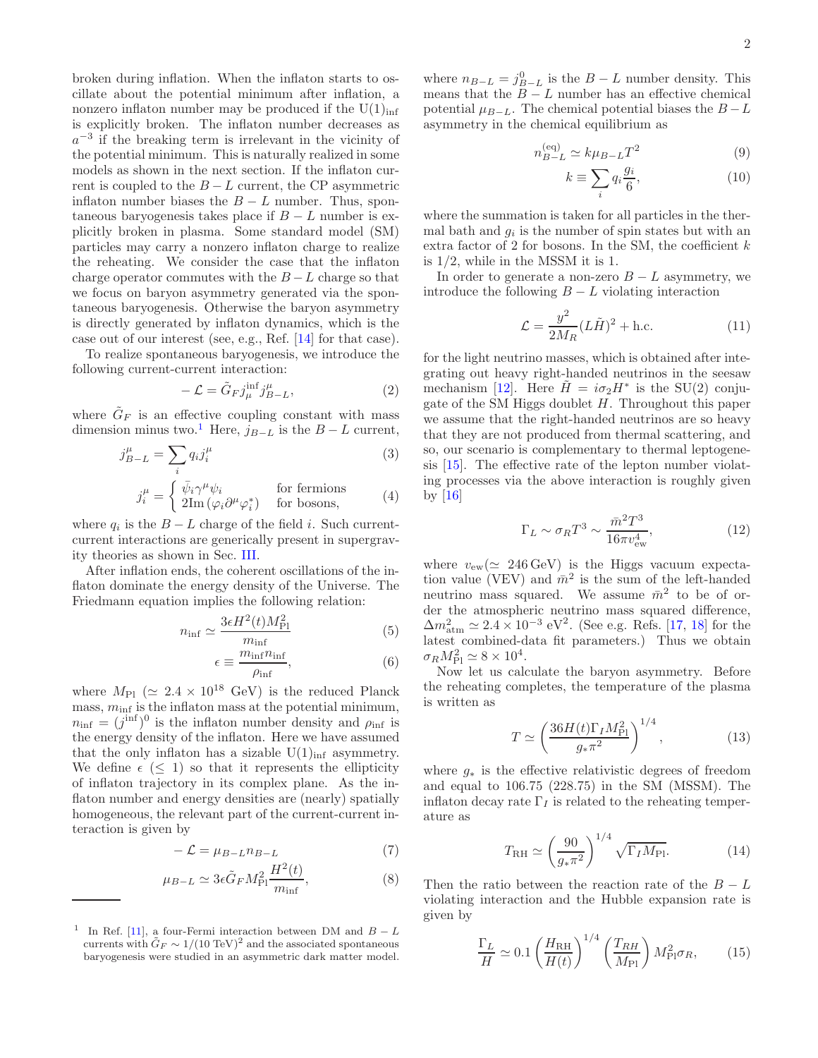broken during inflation. When the inflaton starts to oscillate about the potential minimum after inflation, a nonzero inflaton number may be produced if the  $U(1)_{\text{inf}}$ is explicitly broken. The inflaton number decreases as  $a^{-3}$  if the breaking term is irrelevant in the vicinity of the potential minimum. This is naturally realized in some models as shown in the next section. If the inflaton current is coupled to the  $B - L$  current, the CP asymmetric inflaton number biases the  $B - L$  number. Thus, spontaneous baryogenesis takes place if  $B - L$  number is explicitly broken in plasma. Some standard model (SM) particles may carry a nonzero inflaton charge to realize the reheating. We consider the case that the inflaton charge operator commutes with the  $B-L$  charge so that we focus on baryon asymmetry generated via the spontaneous baryogenesis. Otherwise the baryon asymmetry is directly generated by inflaton dynamics, which is the case out of our interest (see, e.g., Ref. [\[14\]](#page-5-3) for that case).

To realize spontaneous baryogenesis, we introduce the following current-current interaction:

<span id="page-1-1"></span>
$$
-\mathcal{L} = \tilde{G}_F j^{\text{inf}}_{\mu} j^{\mu}_{B-L},\tag{2}
$$

where  $\tilde{G}_F$  is an effective coupling constant with mass dimension minus two.<sup>[1](#page-1-0)</sup> Here,  $j_{B-L}$  is the  $B-L$  current,

$$
j_{B-L}^{\mu} = \sum_{i} q_i j_i^{\mu} \tag{3}
$$

$$
j_i^{\mu} = \begin{cases} \bar{\psi}_i \gamma^{\mu} \psi_i & \text{for fermions} \\ 2\text{Im}\left(\varphi_i \partial^{\mu} \varphi_i^*\right) & \text{for bosons}, \end{cases}
$$
 (4)

where  $q_i$  is the  $B - L$  charge of the field i. Such currentcurrent interactions are generically present in supergravity theories as shown in Sec. [III.](#page-2-0)

After inflation ends, the coherent oscillations of the inflaton dominate the energy density of the Universe. The Friedmann equation implies the following relation:

$$
n_{\rm inf} \simeq \frac{3\epsilon H^2(t)M_{\rm Pl}^2}{m_{\rm inf}}\tag{5}
$$

$$
\epsilon \equiv \frac{m_{\rm inf} n_{\rm inf}}{\rho_{\rm inf}},\tag{6}
$$

where  $M_{\rm Pl}$  ( $\simeq 2.4 \times 10^{18}$  GeV) is the reduced Planck mass,  $m_{\text{inf}}$  is the inflaton mass at the potential minimum,  $n_{\text{inf}} = (j^{\text{inf}})^0$  is the inflaton number density and  $\rho_{\text{inf}}$  is the energy density of the inflaton. Here we have assumed that the only inflaton has a sizable  $U(1)_{\text{inf}}$  asymmetry. We define  $\epsilon$  (< 1) so that it represents the ellipticity of inflaton trajectory in its complex plane. As the inflaton number and energy densities are (nearly) spatially homogeneous, the relevant part of the current-current interaction is given by

$$
-\mathcal{L} = \mu_{B-L} n_{B-L} \tag{7}
$$

$$
\mu_{B-L} \simeq 3\epsilon \tilde{G}_F M_{\rm Pl}^2 \frac{H^2(t)}{m_{\rm inf}},\tag{8}
$$

where  $n_{B-L} = j_{B-L}^0$  is the  $B - L$  number density. This means that the  $B - L$  number has an effective chemical potential  $\mu_{B-L}$ . The chemical potential biases the  $B-L$ asymmetry in the chemical equilibrium as

$$
n_{B-L}^{\text{(eq)}} \simeq k\mu_{B-L}T^2\tag{9}
$$

$$
k \equiv \sum_{i} q_i \frac{g_i}{6},\tag{10}
$$

where the summation is taken for all particles in the thermal bath and  $g_i$  is the number of spin states but with an extra factor of 2 for bosons. In the SM, the coefficient  $k$ is 1/2, while in the MSSM it is 1.

In order to generate a non-zero  $B - L$  asymmetry, we introduce the following  $B - L$  violating interaction

$$
\mathcal{L} = \frac{y^2}{2M_R} (L\tilde{H})^2 + \text{h.c.}
$$
 (11)

for the light neutrino masses, which is obtained after integrating out heavy right-handed neutrinos in the seesaw mechanism [\[12\]](#page-5-1). Here  $\tilde{H} = i\sigma_2 H^*$  is the SU(2) conjugate of the SM Higgs doublet  $H$ . Throughout this paper we assume that the right-handed neutrinos are so heavy that they are not produced from thermal scattering, and so, our scenario is complementary to thermal leptogenesis [\[15](#page-5-4)]. The effective rate of the lepton number violating processes via the above interaction is roughly given by  $[16]$ 

$$
\Gamma_L \sim \sigma_R T^3 \sim \frac{\bar{m}^2 T^3}{16\pi v_{\rm ew}^4},\tag{12}
$$

where  $v_{\text{ew}}(\simeq 246 \,\text{GeV})$  is the Higgs vacuum expectation value (VEV) and  $\bar{m}^2$  is the sum of the left-handed neutrino mass squared. We assume  $\bar{m}^2$  to be of order the atmospheric neutrino mass squared difference,  $\Delta m_{\text{atm}}^2 \simeq 2.4 \times 10^{-3} \text{ eV}^2$ . (See e.g. Refs. [\[17](#page-5-6), [18](#page-5-7)] for the latest combined-data fit parameters.) Thus we obtain  $\sigma_R M_{\rm Pl}^2 \simeq 8 \times 10^4$ .

Now let us calculate the baryon asymmetry. Before the reheating completes, the temperature of the plasma is written as

$$
T \simeq \left(\frac{36H(t)\Gamma_I M_{\rm Pl}^2}{g_* \pi^2}\right)^{1/4},\tag{13}
$$

where  $g_*$  is the effective relativistic degrees of freedom and equal to 106.75 (228.75) in the SM (MSSM). The inflaton decay rate  $\Gamma_I$  is related to the reheating temperature as

$$
T_{\rm RH} \simeq \left(\frac{90}{g_* \pi^2}\right)^{1/4} \sqrt{\Gamma_I M_{\rm Pl}}.\tag{14}
$$

Then the ratio between the reaction rate of the  $B - L$ violating interaction and the Hubble expansion rate is given by

$$
\frac{\Gamma_L}{H} \simeq 0.1 \left(\frac{H_{\rm RH}}{H(t)}\right)^{1/4} \left(\frac{T_{RH}}{M_{\rm Pl}}\right) M_{\rm Pl}^2 \sigma_R, \qquad (15)
$$

<span id="page-1-0"></span><sup>&</sup>lt;sup>1</sup> In Ref. [\[11](#page-5-0)], a four-Fermi interaction between DM and  $B - L$ currents with  $\tilde{G}_F \sim 1/(10 \text{ TeV})^2$  and the associated spontaneous baryogenesis were studied in an asymmetric dark matter model.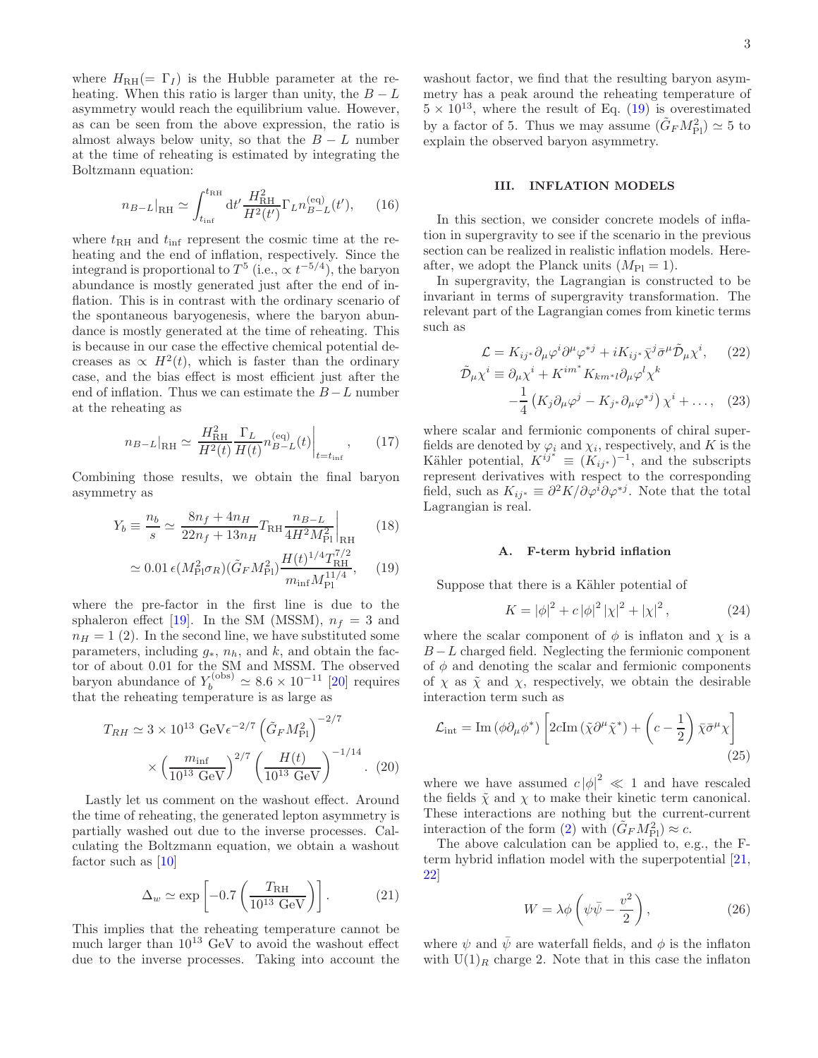where  $H_{\text{RH}}(=\Gamma_I)$  is the Hubble parameter at the reheating. When this ratio is larger than unity, the  $B - L$ asymmetry would reach the equilibrium value. However, as can be seen from the above expression, the ratio is almost always below unity, so that the  $B - L$  number at the time of reheating is estimated by integrating the Boltzmann equation:

$$
n_{B-L}|_{\rm RH} \simeq \int_{t_{\rm inf}}^{t_{\rm RH}} dt' \frac{H_{\rm RH}^2}{H^2(t')} \Gamma_L n_{B-L}^{\text{(eq)}}(t'),\qquad(16)
$$

where  $t_{\text{RH}}$  and  $t_{\text{inf}}$  represent the cosmic time at the reheating and the end of inflation, respectively. Since the integrand is proportional to  $T^5$  (i.e.,  $\propto t^{-5/4}$ ), the baryon abundance is mostly generated just after the end of inflation. This is in contrast with the ordinary scenario of the spontaneous baryogenesis, where the baryon abundance is mostly generated at the time of reheating. This is because in our case the effective chemical potential decreases as  $\propto H^2(t)$ , which is faster than the ordinary case, and the bias effect is most efficient just after the end of inflation. Thus we can estimate the  $B - L$  number at the reheating as

$$
n_{B-L}|_{\rm RH} \simeq \frac{H_{\rm RH}^2}{H^2(t)} \frac{\Gamma_L}{H(t)} n_{B-L}^{\text{(eq)}}(t) \Big|_{t=t_{\rm inf}} ,\qquad(17)
$$

Combining those results, we obtain the final baryon asymmetry as

<span id="page-2-1"></span>
$$
Y_b \equiv \frac{n_b}{s} \simeq \left. \frac{8n_f + 4n_H}{22n_f + 13n_H} T_{\rm RH} \frac{n_{B-L}}{4H^2 M_{\rm Pl}^2} \right|_{\rm RH} \quad (18)
$$

$$
\simeq 0.01 \,\epsilon (M_{\rm Pl}^2 \sigma_R) (\tilde{G}_F M_{\rm Pl}^2) \frac{H(t)^{1/4} T_{\rm RH}^{7/2}}{m_{\rm inf} M_{\rm Pl}^{11/4}},\tag{19}
$$

where the pre-factor in the first line is due to the sphaleron effect [\[19\]](#page-5-8). In the SM (MSSM),  $n_f = 3$  and  $n_H = 1$  (2). In the second line, we have substituted some parameters, including  $g_*, n_h$ , and k, and obtain the factor of about 0.01 for the SM and MSSM. The observed baryon abundance of  $Y_b^{(\text{obs})} \simeq 8.6 \times 10^{-11}$  [\[20](#page-5-9)] requires that the reheating temperature is as large as

<span id="page-2-2"></span>
$$
T_{RH} \simeq 3 \times 10^{13} \text{ GeV} \epsilon^{-2/7} \left(\tilde{G}_F M_{\text{Pl}}^2\right)^{-2/7} \times \left(\frac{m_{\text{inf}}}{10^{13} \text{ GeV}}\right)^{2/7} \left(\frac{H(t)}{10^{13} \text{ GeV}}\right)^{-1/14} . (20)
$$

Lastly let us comment on the washout effect. Around the time of reheating, the generated lepton asymmetry is partially washed out due to the inverse processes. Calculating the Boltzmann equation, we obtain a washout factor such as [\[10\]](#page-5-10)

$$
\Delta_w \simeq \exp\left[-0.7 \left(\frac{T_{\rm RH}}{10^{13} \text{ GeV}}\right)\right].\tag{21}
$$

This implies that the reheating temperature cannot be much larger than  $10^{13}$  GeV to avoid the washout effect due to the inverse processes. Taking into account the

washout factor, we find that the resulting baryon asymmetry has a peak around the reheating temperature of  $5 \times 10^{13}$ , where the result of Eq. [\(19\)](#page-2-1) is overestimated by a factor of 5. Thus we may assume  $(\tilde{G}_F M_{\rm Pl}^2) \simeq 5$  to explain the observed baryon asymmetry.

#### <span id="page-2-0"></span>III. INFLATION MODELS

In this section, we consider concrete models of inflation in supergravity to see if the scenario in the previous section can be realized in realistic inflation models. Hereafter, we adopt the Planck units  $(M_{\rm Pl} = 1)$ .

In supergravity, the Lagrangian is constructed to be invariant in terms of supergravity transformation. The relevant part of the Lagrangian comes from kinetic terms such as

$$
\mathcal{L} = K_{ij^*} \partial_\mu \varphi^i \partial^\mu \varphi^{*j} + i K_{ij^*} \bar{\chi}^j \bar{\sigma}^\mu \tilde{\mathcal{D}}_\mu \chi^i, \qquad (22)
$$
  

$$
\tilde{\mathcal{D}}_\mu \chi^i \equiv \partial_\mu \chi^i + K^{im^*} K_{km^*l} \partial_\mu \varphi^l \chi^k -\frac{1}{4} \left( K_j \partial_\mu \varphi^j - K_{j^*} \partial_\mu \varphi^{*j} \right) \chi^i + \dots, \qquad (23)
$$

where scalar and fermionic components of chiral superfields are denoted by  $\varphi_i$  and  $\chi_i$ , respectively, and K is the Kähler potential,  $K^{ij^*} \equiv (K_{ij^*})^{-1}$ , and the subscripts represent derivatives with respect to the corresponding field, such as  $K_{ij^*} \equiv \partial^2 K/\partial \varphi^i \partial \varphi^{*j}$ . Note that the total Lagrangian is real.

# A. F-term hybrid inflation

Suppose that there is a Kähler potential of

$$
K = |\phi|^2 + c |\phi|^2 |\chi|^2 + |\chi|^2, \qquad (24)
$$

where the scalar component of  $\phi$  is inflaton and  $\chi$  is a  $B-L$  charged field. Neglecting the fermionic component of  $\phi$  and denoting the scalar and fermionic components of  $\chi$  as  $\tilde{\chi}$  and  $\chi$ , respectively, we obtain the desirable interaction term such as

$$
\mathcal{L}_{\text{int}} = \text{Im}\left(\phi \partial_{\mu} \phi^{*}\right) \left[2c \text{Im}\left(\tilde{\chi} \partial^{\mu} \tilde{\chi}^{*}\right) + \left(c - \frac{1}{2}\right) \bar{\chi} \bar{\sigma}^{\mu} \chi\right]
$$
\n(25)

where we have assumed  $c |\phi|^2 \ll 1$  and have rescaled the fields  $\tilde{\chi}$  and  $\chi$  to make their kinetic term canonical. These interactions are nothing but the current-current interaction of the form [\(2\)](#page-1-1) with  $(\tilde{G}_F M_{\text{Pl}}^2) \approx c$ .

The above calculation can be applied to, e.g., the Fterm hybrid inflation model with the superpotential [\[21](#page-5-11), [22](#page-5-12)]

$$
W = \lambda \phi \left( \psi \bar{\psi} - \frac{v^2}{2} \right), \qquad (26)
$$

where  $\psi$  and  $\bar{\psi}$  are waterfall fields, and  $\phi$  is the inflaton with  $U(1)_R$  charge 2. Note that in this case the inflaton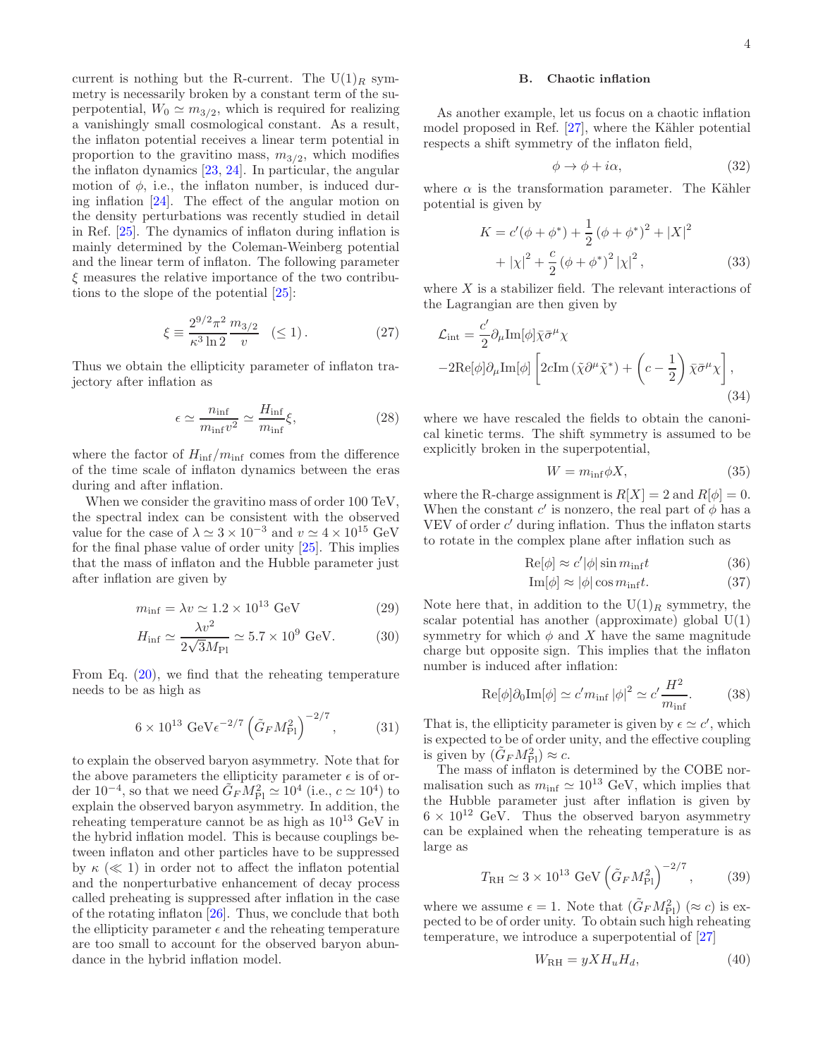current is nothing but the R-current. The  $U(1)_R$  symmetry is necessarily broken by a constant term of the superpotential,  $W_0 \simeq m_{3/2}$ , which is required for realizing a vanishingly small cosmological constant. As a result, the inflaton potential receives a linear term potential in proportion to the gravitino mass,  $m_{3/2}$ , which modifies the inflaton dynamics [\[23,](#page-5-13) [24](#page-5-14)]. In particular, the angular motion of  $\phi$ , i.e., the inflaton number, is induced during inflation [\[24\]](#page-5-14). The effect of the angular motion on the density perturbations was recently studied in detail in Ref. [\[25](#page-5-15)]. The dynamics of inflaton during inflation is mainly determined by the Coleman-Weinberg potential and the linear term of inflaton. The following parameter  $\xi$  measures the relative importance of the two contributions to the slope of the potential [\[25](#page-5-15)]:

$$
\xi \equiv \frac{2^{9/2}\pi^2}{\kappa^3 \ln 2} \frac{m_{3/2}}{v} \quad (\le 1). \tag{27}
$$

Thus we obtain the ellipticity parameter of inflaton trajectory after inflation as

$$
\epsilon \simeq \frac{n_{\rm inf}}{m_{\rm inf} v^2} \simeq \frac{H_{\rm inf}}{m_{\rm inf}} \xi,\tag{28}
$$

where the factor of  $H_{\text{inf}}/m_{\text{inf}}$  comes from the difference of the time scale of inflaton dynamics between the eras during and after inflation.

When we consider the gravitino mass of order 100 TeV, the spectral index can be consistent with the observed value for the case of  $\lambda \simeq 3 \times 10^{-3}$  and  $v \simeq 4 \times 10^{15}$  GeV for the final phase value of order unity [\[25](#page-5-15)]. This implies that the mass of inflaton and the Hubble parameter just after inflation are given by

$$
m_{\text{inf}} = \lambda v \simeq 1.2 \times 10^{13} \text{ GeV}
$$
 (29)

$$
H_{\text{inf}} \simeq \frac{\lambda v^2}{2\sqrt{3}M_{\text{Pl}}} \simeq 5.7 \times 10^9 \text{ GeV}.
$$
 (30)

From Eq. [\(20\)](#page-2-2), we find that the reheating temperature needs to be as high as

 $\sqrt{2}$ 

$$
6 \times 10^{13} \text{ GeV} \epsilon^{-2/7} \left( \tilde{G}_F M_{\text{Pl}}^2 \right)^{-2/7}, \tag{31}
$$

to explain the observed baryon asymmetry. Note that for the above parameters the ellipticity parameter  $\epsilon$  is of order 10<sup>-4</sup>, so that we need  $\tilde{G}_F M_{\rm Pl}^2 \simeq 10^4$  (i.e.,  $c \simeq 10^4$ ) to explain the observed baryon asymmetry. In addition, the reheating temperature cannot be as high as  $10^{13}$  GeV in the hybrid inflation model. This is because couplings between inflaton and other particles have to be suppressed by  $\kappa \ll 1$  in order not to affect the inflaton potential and the nonperturbative enhancement of decay process called preheating is suppressed after inflation in the case of the rotating inflaton [\[26\]](#page-5-16). Thus, we conclude that both the ellipticity parameter  $\epsilon$  and the reheating temperature are too small to account for the observed baryon abundance in the hybrid inflation model.

### B. Chaotic inflation

As another example, let us focus on a chaotic inflation model proposed in Ref.  $[27]$ , where the Kähler potential respects a shift symmetry of the inflaton field,

$$
\phi \to \phi + i\alpha,\tag{32}
$$

where  $\alpha$  is the transformation parameter. The Kähler potential is given by

$$
K = c'(\phi + \phi^*) + \frac{1}{2} (\phi + \phi^*)^2 + |X|^2
$$
  
+  $|x|^2 + \frac{c}{2} (\phi + \phi^*)^2 |x|^2$ , (33)

where  $X$  is a stabilizer field. The relevant interactions of the Lagrangian are then given by

$$
\mathcal{L}_{int} = \frac{c'}{2} \partial_{\mu} \text{Im}[\phi] \bar{\chi} \bar{\sigma}^{\mu} \chi - 2 \text{Re}[\phi] \partial_{\mu} \text{Im}[\phi] \left[ 2c \text{Im} \left( \tilde{\chi} \partial^{\mu} \tilde{\chi}^{*} \right) + \left( c - \frac{1}{2} \right) \bar{\chi} \bar{\sigma}^{\mu} \chi \right],
$$
\n(34)

where we have rescaled the fields to obtain the canonical kinetic terms. The shift symmetry is assumed to be explicitly broken in the superpotential,

$$
W = m_{\inf} \phi X, \tag{35}
$$

where the R-charge assignment is  $R[X] = 2$  and  $R[\phi] = 0$ . When the constant c' is nonzero, the real part of  $\phi$  has a VEV of order  $c'$  during inflation. Thus the inflaton starts to rotate in the complex plane after inflation such as

$$
\text{Re}[\phi] \approx c' |\phi| \sin m_{\text{inf}} t \tag{36}
$$

$$
\text{Im}[\phi] \approx |\phi| \cos m_{\text{inf}} t. \tag{37}
$$

Note here that, in addition to the  $U(1)_R$  symmetry, the scalar potential has another (approximate) global U(1) symmetry for which  $\phi$  and X have the same magnitude charge but opposite sign. This implies that the inflaton number is induced after inflation:

$$
\text{Re}[\phi]\partial_0\text{Im}[\phi] \simeq c'm_{\text{inf}}|\phi|^2 \simeq c'\frac{H^2}{m_{\text{inf}}}.\tag{38}
$$

That is, the ellipticity parameter is given by  $\epsilon \simeq c'$ , which is expected to be of order unity, and the effective coupling is given by  $(\tilde{G}_F M_{\rm Pl}^2) \approx c$ .

The mass of inflaton is determined by the COBE normalisation such as  $m_{\text{inf}} \simeq 10^{13}$  GeV, which implies that the Hubble parameter just after inflation is given by  $6 \times 10^{12}$  GeV. Thus the observed baryon asymmetry can be explained when the reheating temperature is as large as

$$
T_{\rm RH} \simeq 3 \times 10^{13} \text{ GeV} \left(\tilde{G}_F M_{\rm Pl}^2\right)^{-2/7},
$$
 (39)

where we assume  $\epsilon = 1$ . Note that  $(\tilde{G}_F M_{\rm Pl}^2)$  ( $\approx c$ ) is expected to be of order unity. To obtain such high reheating temperature, we introduce a superpotential of  $[27]$ 

$$
W_{\rm RH} = yXH_uH_d,\t\t(40)
$$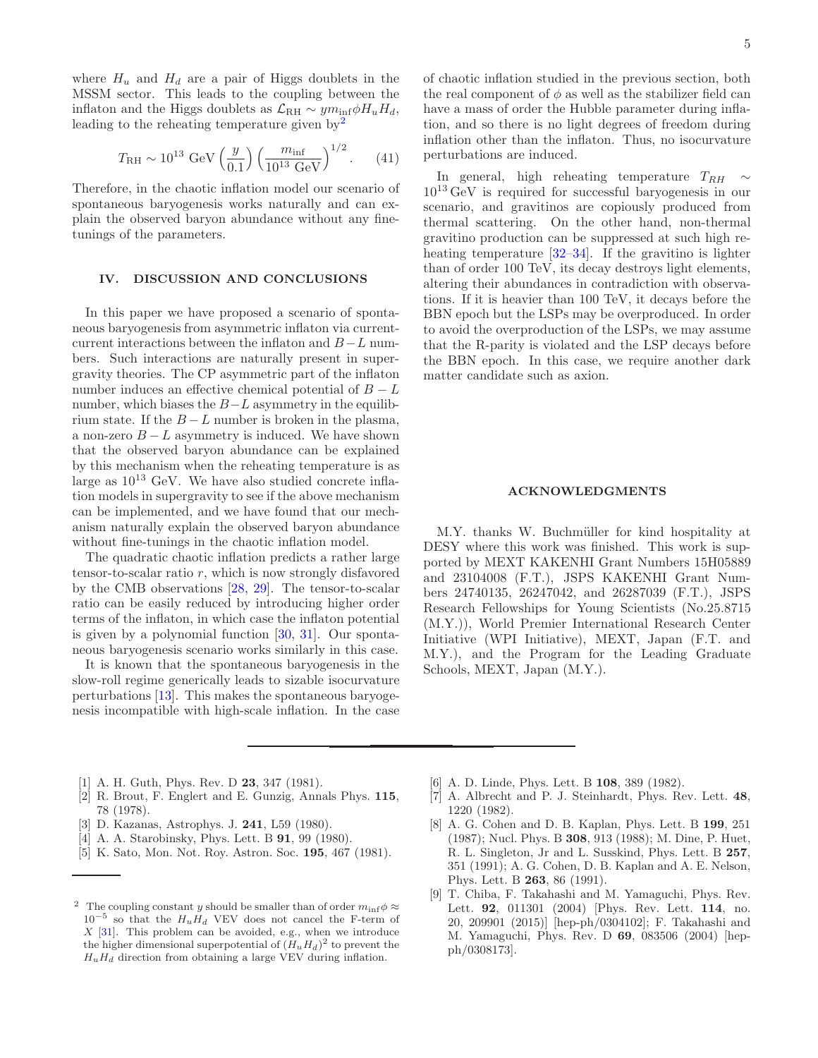where  $H_u$  and  $H_d$  are a pair of Higgs doublets in the MSSM sector. This leads to the coupling between the inflaton and the Higgs doublets as  $\mathcal{L}_{\rm RH} \sim y m_{\rm inf} \phi H_u H_d$ , leading to the reheating temperature given  $by<sup>2</sup>$  $by<sup>2</sup>$  $by<sup>2</sup>$ 

$$
T_{\rm RH} \sim 10^{13} \text{ GeV} \left(\frac{y}{0.1}\right) \left(\frac{m_{\rm inf}}{10^{13} \text{ GeV}}\right)^{1/2}.
$$
 (41)

Therefore, in the chaotic inflation model our scenario of spontaneous baryogenesis works naturally and can explain the observed baryon abundance without any finetunings of the parameters.

# IV. DISCUSSION AND CONCLUSIONS

In this paper we have proposed a scenario of spontaneous baryogenesis from asymmetric inflaton via currentcurrent interactions between the inflaton and  $B-L$  numbers. Such interactions are naturally present in supergravity theories. The CP asymmetric part of the inflaton number induces an effective chemical potential of  $B - L$ number, which biases the  $B-L$  asymmetry in the equilibrium state. If the  $B - L$  number is broken in the plasma, a non-zero  $B - L$  asymmetry is induced. We have shown that the observed baryon abundance can be explained by this mechanism when the reheating temperature is as large as  $10^{13}$  GeV. We have also studied concrete inflation models in supergravity to see if the above mechanism can be implemented, and we have found that our mechanism naturally explain the observed baryon abundance without fine-tunings in the chaotic inflation model.

The quadratic chaotic inflation predicts a rather large tensor-to-scalar ratio  $r$ , which is now strongly disfavored by the CMB observations [\[28](#page-5-18), [29\]](#page-5-19). The tensor-to-scalar ratio can be easily reduced by introducing higher order terms of the inflaton, in which case the inflaton potential is given by a polynomial function [\[30](#page-5-20), [31\]](#page-5-21). Our spontaneous baryogenesis scenario works similarly in this case.

It is known that the spontaneous baryogenesis in the slow-roll regime generically leads to sizable isocurvature perturbations [\[13\]](#page-5-2). This makes the spontaneous baryogenesis incompatible with high-scale inflation. In the case

of chaotic inflation studied in the previous section, both the real component of  $\phi$  as well as the stabilizer field can have a mass of order the Hubble parameter during inflation, and so there is no light degrees of freedom during inflation other than the inflaton. Thus, no isocurvature perturbations are induced.

In general, high reheating temperature  $T_{RH} \sim$  $10^{13}$  GeV is required for successful baryogenesis in our scenario, and gravitinos are copiously produced from thermal scattering. On the other hand, non-thermal gravitino production can be suppressed at such high reheating temperature [\[32](#page-5-22)[–34\]](#page-5-23). If the gravitino is lighter than of order 100 TeV, its decay destroys light elements, altering their abundances in contradiction with observations. If it is heavier than 100 TeV, it decays before the BBN epoch but the LSPs may be overproduced. In order to avoid the overproduction of the LSPs, we may assume that the R-parity is violated and the LSP decays before the BBN epoch. In this case, we require another dark matter candidate such as axion.

### ACKNOWLEDGMENTS

M.Y. thanks W. Buchmüller for kind hospitality at DESY where this work was finished. This work is supported by MEXT KAKENHI Grant Numbers 15H05889 and 23104008 (F.T.), JSPS KAKENHI Grant Numbers 24740135, 26247042, and 26287039 (F.T.), JSPS Research Fellowships for Young Scientists (No.25.8715 (M.Y.)), World Premier International Research Center Initiative (WPI Initiative), MEXT, Japan (F.T. and M.Y.), and the Program for the Leading Graduate Schools, MEXT, Japan (M.Y.).

- <span id="page-4-0"></span>[1] A. H. Guth, Phys. Rev. D 23, 347 (1981).
- [2] R. Brout, F. Englert and E. Gunzig, Annals Phys. 115, 78 (1978).
- [3] D. Kazanas, Astrophys. J. 241, L59 (1980).
- [4] A. A. Starobinsky, Phys. Lett. B **91**, 99 (1980).
- <span id="page-4-1"></span>[5] K. Sato, Mon. Not. Roy. Astron. Soc. 195, 467 (1981).
- <span id="page-4-2"></span>[6] A. D. Linde, Phys. Lett. B 108, 389 (1982).
- <span id="page-4-3"></span>[7] A. Albrecht and P. J. Steinhardt, Phys. Rev. Lett. 48, 1220 (1982).
- <span id="page-4-4"></span>[8] A. G. Cohen and D. B. Kaplan, Phys. Lett. B 199, 251 (1987); Nucl. Phys. B 308, 913 (1988); M. Dine, P. Huet, R. L. Singleton, Jr and L. Susskind, Phys. Lett. B 257, 351 (1991); A. G. Cohen, D. B. Kaplan and A. E. Nelson, Phys. Lett. B 263, 86 (1991).
- [9] T. Chiba, F. Takahashi and M. Yamaguchi, Phys. Rev. Lett. 92, 011301 (2004) [Phys. Rev. Lett. 114, no. 20, 209901 (2015)] [hep-ph/0304102]; F. Takahashi and M. Yamaguchi, Phys. Rev. D 69, 083506 (2004) [hepph/0308173].

<span id="page-4-5"></span><sup>&</sup>lt;sup>2</sup> The coupling constant y should be smaller than of order  $m_{\text{inf}}\phi \approx$  $10^{-5}$  so that the  $H_u H_d$  VEV does not cancel the F-term of  $X$  [\[31](#page-5-21)]. This problem can be avoided, e.g., when we introduce the higher dimensional superpotential of  $(H_u H_d)^2$  to prevent the  $H_u H_d$  direction from obtaining a large VEV during inflation.